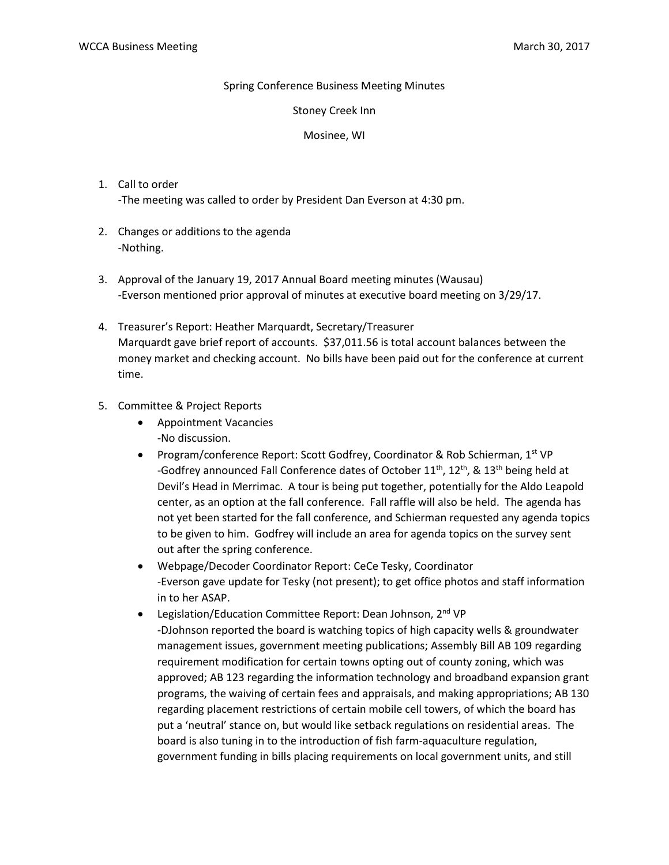## Spring Conference Business Meeting Minutes

### Stoney Creek Inn

## Mosinee, WI

- 1. Call to order -The meeting was called to order by President Dan Everson at 4:30 pm.
- 2. Changes or additions to the agenda -Nothing.
- 3. Approval of the January 19, 2017 Annual Board meeting minutes (Wausau) -Everson mentioned prior approval of minutes at executive board meeting on 3/29/17.
- 4. Treasurer's Report: Heather Marquardt, Secretary/Treasurer Marquardt gave brief report of accounts. \$37,011.56 is total account balances between the money market and checking account. No bills have been paid out for the conference at current time.

# 5. Committee & Project Reports

- Appointment Vacancies -No discussion.
- Program/conference Report: Scott Godfrey, Coordinator & Rob Schierman, 1<sup>st</sup> VP -Godfrey announced Fall Conference dates of October  $11^{th}$ ,  $12^{th}$ , &  $13^{th}$  being held at Devil's Head in Merrimac. A tour is being put together, potentially for the Aldo Leapold center, as an option at the fall conference. Fall raffle will also be held. The agenda has not yet been started for the fall conference, and Schierman requested any agenda topics to be given to him. Godfrey will include an area for agenda topics on the survey sent out after the spring conference.
- Webpage/Decoder Coordinator Report: CeCe Tesky, Coordinator -Everson gave update for Tesky (not present); to get office photos and staff information in to her ASAP.
- Legislation/Education Committee Report: Dean Johnson, 2<sup>nd</sup> VP -DJohnson reported the board is watching topics of high capacity wells & groundwater management issues, government meeting publications; Assembly Bill AB 109 regarding requirement modification for certain towns opting out of county zoning, which was approved; AB 123 regarding the information technology and broadband expansion grant programs, the waiving of certain fees and appraisals, and making appropriations; AB 130 regarding placement restrictions of certain mobile cell towers, of which the board has put a 'neutral' stance on, but would like setback regulations on residential areas. The board is also tuning in to the introduction of fish farm-aquaculture regulation, government funding in bills placing requirements on local government units, and still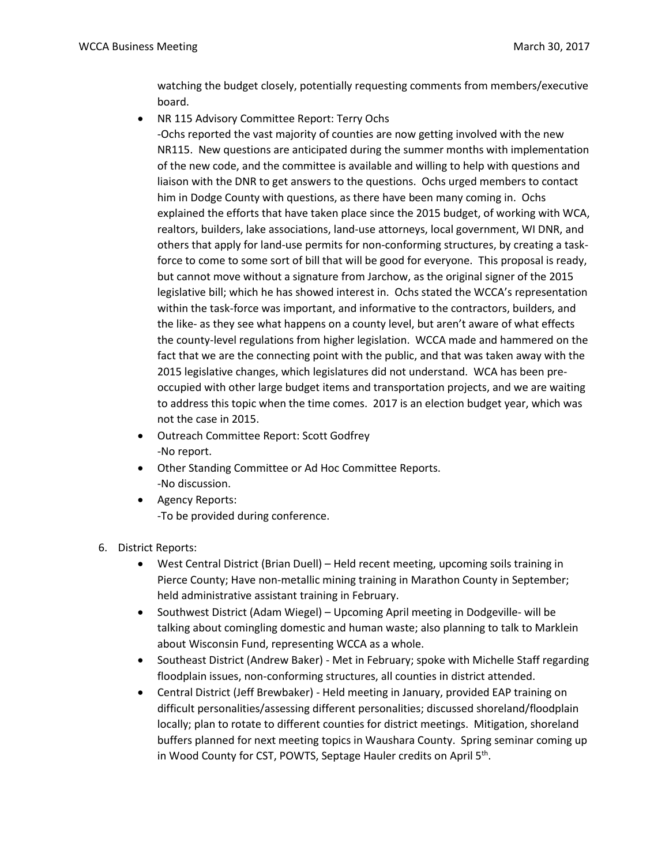watching the budget closely, potentially requesting comments from members/executive board.

NR 115 Advisory Committee Report: Terry Ochs

-Ochs reported the vast majority of counties are now getting involved with the new NR115. New questions are anticipated during the summer months with implementation of the new code, and the committee is available and willing to help with questions and liaison with the DNR to get answers to the questions. Ochs urged members to contact him in Dodge County with questions, as there have been many coming in. Ochs explained the efforts that have taken place since the 2015 budget, of working with WCA, realtors, builders, lake associations, land-use attorneys, local government, WI DNR, and others that apply for land-use permits for non-conforming structures, by creating a taskforce to come to some sort of bill that will be good for everyone. This proposal is ready, but cannot move without a signature from Jarchow, as the original signer of the 2015 legislative bill; which he has showed interest in. Ochs stated the WCCA's representation within the task-force was important, and informative to the contractors, builders, and the like- as they see what happens on a county level, but aren't aware of what effects the county-level regulations from higher legislation. WCCA made and hammered on the fact that we are the connecting point with the public, and that was taken away with the 2015 legislative changes, which legislatures did not understand. WCA has been preoccupied with other large budget items and transportation projects, and we are waiting to address this topic when the time comes. 2017 is an election budget year, which was not the case in 2015.

- Outreach Committee Report: Scott Godfrey -No report.
- Other Standing Committee or Ad Hoc Committee Reports. -No discussion.
- Agency Reports: -To be provided during conference.
- 6. District Reports:
	- West Central District (Brian Duell) Held recent meeting, upcoming soils training in Pierce County; Have non-metallic mining training in Marathon County in September; held administrative assistant training in February.
	- Southwest District (Adam Wiegel) Upcoming April meeting in Dodgeville- will be talking about comingling domestic and human waste; also planning to talk to Marklein about Wisconsin Fund, representing WCCA as a whole.
	- Southeast District (Andrew Baker) Met in February; spoke with Michelle Staff regarding floodplain issues, non-conforming structures, all counties in district attended.
	- Central District (Jeff Brewbaker) Held meeting in January, provided EAP training on difficult personalities/assessing different personalities; discussed shoreland/floodplain locally; plan to rotate to different counties for district meetings. Mitigation, shoreland buffers planned for next meeting topics in Waushara County. Spring seminar coming up in Wood County for CST, POWTS, Septage Hauler credits on April 5<sup>th</sup>.